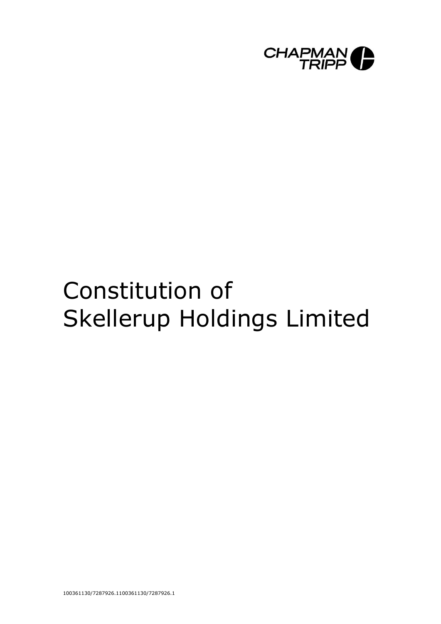

# Constitution of Skellerup Holdings Limited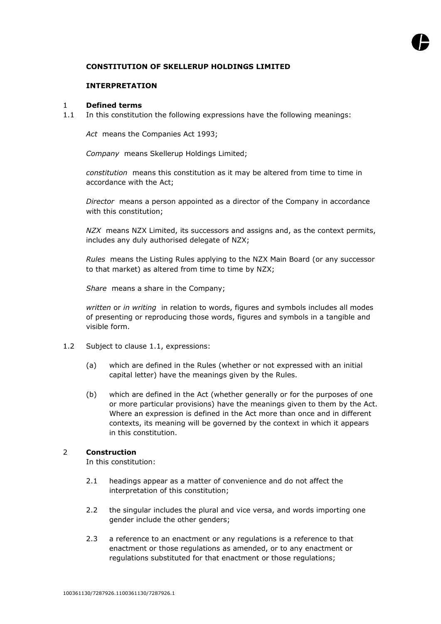# **CONSTITUTION OF SKELLERUP HOLDINGS LIMITED**

## **INTERPRETATION**

#### 1 **Defined terms**

1.1 In this constitution the following expressions have the following meanings:

*Act* means the Companies Act 1993;

*Company* means Skellerup Holdings Limited;

*constitution* means this constitution as it may be altered from time to time in accordance with the Act;

*Director* means a person appointed as a director of the Company in accordance with this constitution;

*NZX* means NZX Limited, its successors and assigns and, as the context permits, includes any duly authorised delegate of NZX;

*Rules* means the Listing Rules applying to the NZX Main Board (or any successor to that market) as altered from time to time by NZX;

*Share* means a share in the Company;

*written* or *in writing* in relation to words, figures and symbols includes all modes of presenting or reproducing those words, figures and symbols in a tangible and visible form.

- 1.2 Subject to clause 1.1, expressions:
	- (a) which are defined in the Rules (whether or not expressed with an initial capital letter) have the meanings given by the Rules.
	- (b) which are defined in the Act (whether generally or for the purposes of one or more particular provisions) have the meanings given to them by the Act. Where an expression is defined in the Act more than once and in different contexts, its meaning will be governed by the context in which it appears in this constitution.

## 2 **Construction**

In this constitution:

- 2.1 headings appear as a matter of convenience and do not affect the interpretation of this constitution;
- 2.2 the singular includes the plural and vice versa, and words importing one gender include the other genders;
- 2.3 a reference to an enactment or any regulations is a reference to that enactment or those regulations as amended, or to any enactment or regulations substituted for that enactment or those regulations;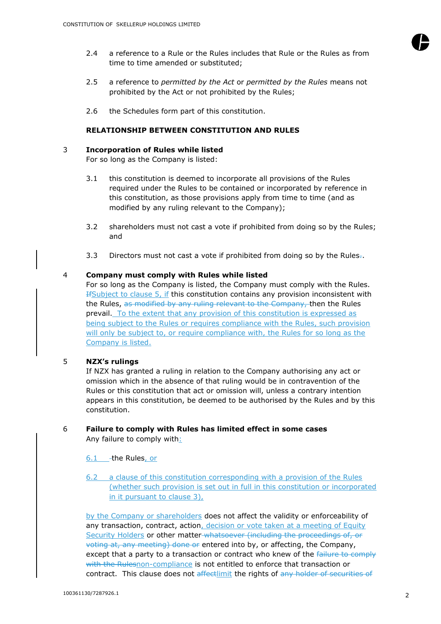

- 2.4 a reference to a Rule or the Rules includes that Rule or the Rules as from time to time amended or substituted;
- 2.5 a reference to *permitted by the Act* or *permitted by the Rules* means not prohibited by the Act or not prohibited by the Rules;
- 2.6 the Schedules form part of this constitution.

# **RELATIONSHIP BETWEEN CONSTITUTION AND RULES**

#### <span id="page-2-0"></span>3 **Incorporation of Rules while listed**

For so long as the Company is listed:

- 3.1 this constitution is deemed to incorporate all provisions of the Rules required under the Rules to be contained or incorporated by reference in this constitution, as those provisions apply from time to time (and as modified by any ruling relevant to the Company);
- 3.2 shareholders must not cast a vote if prohibited from doing so by the Rules; and
- 3.3 Directors must not cast a vote if prohibited from doing so by the Rules $\overline{z}$ .

## 4 **Company must comply with Rules while listed**

For so long as the Company is listed, the Company must comply with the Rules. IfSubject to clause 5, if this constitution contains any provision inconsistent with the Rules, as modified by any ruling relevant to the Company, then the Rules prevail. To the extent that any provision of this constitution is expressed as being subject to the Rules or requires compliance with the Rules, such provision will only be subject to, or require compliance with, the Rules for so long as the Company is listed.

## 5 **NZX's rulings**

If NZX has granted a ruling in relation to the Company authorising any act or omission which in the absence of that ruling would be in contravention of the Rules or this constitution that act or omission will, unless a contrary intention appears in this constitution, be deemed to be authorised by the Rules and by this constitution.

## 6 **Failure to comply with Rules has limited effect in some cases** Any failure to comply with:

6.1 -the Rules, or

6.2 a clause of this constitution corresponding with a provision of the Rules (whether such provision is set out in full in this constitution or incorporated in it pursuant to clause [3\)](#page-2-0),

by the Company or shareholders does not affect the validity or enforceability of any transaction, contract, action, decision or vote taken at a meeting of Equity Security Holders or other matter whatsoever (including the proceedings of, or voting at, any meeting) done or entered into by, or affecting, the Company, except that a party to a transaction or contract who knew of the failure to comply with the Rulesnon-compliance is not entitled to enforce that transaction or contract. This clause does not affectlimit the rights of any holder of securities of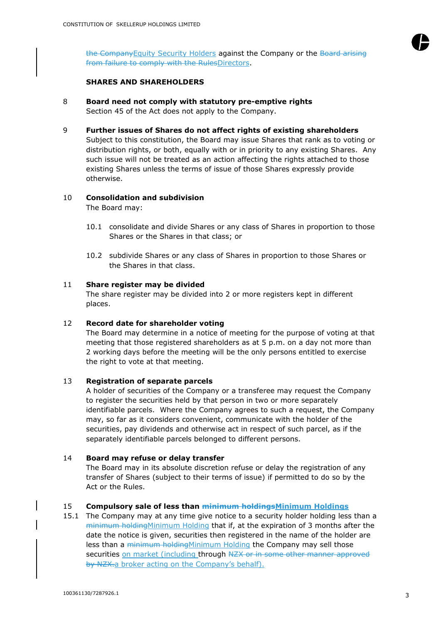

the CompanyEquity Security Holders against the Company or the Board arising from failure to comply with the RulesDirectors.

# **SHARES AND SHAREHOLDERS**

- 8 **Board need not comply with statutory pre-emptive rights** Section 45 of the Act does not apply to the Company.
- 9 **Further issues of Shares do not affect rights of existing shareholders**

Subject to this constitution, the Board may issue Shares that rank as to voting or distribution rights, or both, equally with or in priority to any existing Shares. Any such issue will not be treated as an action affecting the rights attached to those existing Shares unless the terms of issue of those Shares expressly provide otherwise.

# 10 **Consolidation and subdivision**

The Board may:

- 10.1 consolidate and divide Shares or any class of Shares in proportion to those Shares or the Shares in that class; or
- 10.2 subdivide Shares or any class of Shares in proportion to those Shares or the Shares in that class.

# 11 **Share register may be divided**

The share register may be divided into 2 or more registers kept in different places.

# 12 **Record date for shareholder voting**

The Board may determine in a notice of meeting for the purpose of voting at that meeting that those registered shareholders as at 5 p.m. on a day not more than 2 working days before the meeting will be the only persons entitled to exercise the right to vote at that meeting.

# 13 **Registration of separate parcels**

A holder of securities of the Company or a transferee may request the Company to register the securities held by that person in two or more separately identifiable parcels. Where the Company agrees to such a request, the Company may, so far as it considers convenient, communicate with the holder of the securities, pay dividends and otherwise act in respect of such parcel, as if the separately identifiable parcels belonged to different persons.

# 14 **Board may refuse or delay transfer**

The Board may in its absolute discretion refuse or delay the registration of any transfer of Shares (subject to their terms of issue) if permitted to do so by the Act or the Rules.

# 15 **Compulsory sale of less than minimum holdingsMinimum Holdings**

15.1 The Company may at any time give notice to a security holder holding less than a minimum holdingMinimum Holding that if, at the expiration of 3 months after the date the notice is given, securities then registered in the name of the holder are less than a minimum holdingMinimum Holding the Company may sell those securities on market (including through NZX or in some other manner approved by NZX.a broker acting on the Company's behalf).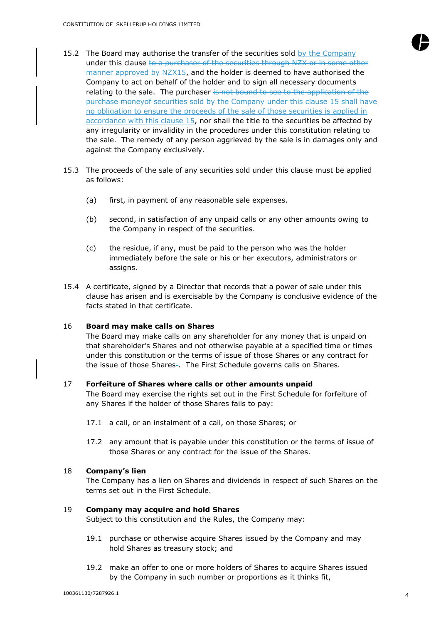- 15.2 The Board may authorise the transfer of the securities sold by the Company under this clause to a purchaser of the securities through NZX or in some other manner approved by NZX15, and the holder is deemed to have authorised the Company to act on behalf of the holder and to sign all necessary documents relating to the sale. The purchaser is not bound to see to the application of the purchase moneyof securities sold by the Company under this clause 15 shall have no obligation to ensure the proceeds of the sale of those securities is applied in accordance with this clause 15, nor shall the title to the securities be affected by any irregularity or invalidity in the procedures under this constitution relating to the sale. The remedy of any person aggrieved by the sale is in damages only and against the Company exclusively.
- 15.3 The proceeds of the sale of any securities sold under this clause must be applied as follows:
	- (a) first, in payment of any reasonable sale expenses.
	- (b) second, in satisfaction of any unpaid calls or any other amounts owing to the Company in respect of the securities.
	- (c) the residue, if any, must be paid to the person who was the holder immediately before the sale or his or her executors, administrators or assigns.
- 15.4 A certificate, signed by a Director that records that a power of sale under this clause has arisen and is exercisable by the Company is conclusive evidence of the facts stated in that certificate.

#### 16 **Board may make calls on Shares**

The Board may make calls on any shareholder for any money that is unpaid on that shareholder's Shares and not otherwise payable at a specified time or times under this constitution or the terms of issue of those Shares or any contract for the issue of those Shares-. The First Schedule governs calls on Shares.

#### 17 **Forfeiture of Shares where calls or other amounts unpaid**

The Board may exercise the rights set out in the First Schedule for forfeiture of any Shares if the holder of those Shares fails to pay:

- 17.1 a call, or an instalment of a call, on those Shares; or
- 17.2 any amount that is payable under this constitution or the terms of issue of those Shares or any contract for the issue of the Shares.

## 18 **Company's lien**

The Company has a lien on Shares and dividends in respect of such Shares on the terms set out in the First Schedule.

#### 19 **Company may acquire and hold Shares**

Subject to this constitution and the Rules, the Company may:

- 19.1 purchase or otherwise acquire Shares issued by the Company and may hold Shares as treasury stock; and
- 19.2 make an offer to one or more holders of Shares to acquire Shares issued by the Company in such number or proportions as it thinks fit,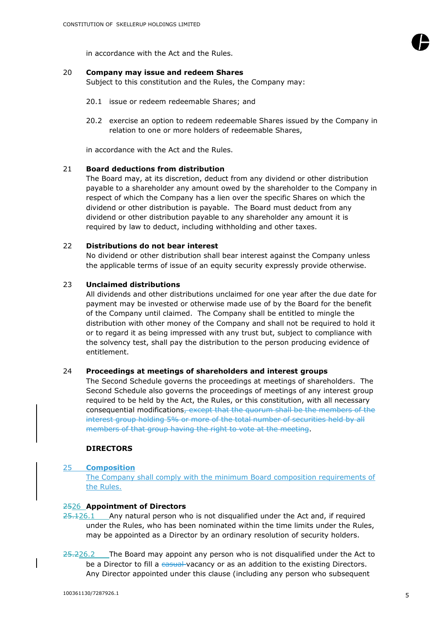

#### 20 **Company may issue and redeem Shares**

Subject to this constitution and the Rules, the Company may:

- 20.1 issue or redeem redeemable Shares; and
- 20.2 exercise an option to redeem redeemable Shares issued by the Company in relation to one or more holders of redeemable Shares,

in accordance with the Act and the Rules.

## 21 **Board deductions from distribution**

The Board may, at its discretion, deduct from any dividend or other distribution payable to a shareholder any amount owed by the shareholder to the Company in respect of which the Company has a lien over the specific Shares on which the dividend or other distribution is payable. The Board must deduct from any dividend or other distribution payable to any shareholder any amount it is required by law to deduct, including withholding and other taxes.

#### 22 **Distributions do not bear interest**

No dividend or other distribution shall bear interest against the Company unless the applicable terms of issue of an equity security expressly provide otherwise.

#### 23 **Unclaimed distributions**

All dividends and other distributions unclaimed for one year after the due date for payment may be invested or otherwise made use of by the Board for the benefit of the Company until claimed. The Company shall be entitled to mingle the distribution with other money of the Company and shall not be required to hold it or to regard it as being impressed with any trust but, subject to compliance with the solvency test, shall pay the distribution to the person producing evidence of entitlement.

# 24 **Proceedings at meetings of shareholders and interest groups**

The Second Schedule governs the proceedings at meetings of shareholders. The Second Schedule also governs the proceedings of meetings of any interest group required to be held by the Act, the Rules, or this constitution, with all necessary consequential modifications, except that the quorum shall be the members of the interest group holding 5% or more of the total number of securities held by all members of that group having the right to vote at the meeting.

#### **DIRECTORS**

#### 25 **Composition**

The Company shall comply with the minimum Board composition requirements of the Rules.

#### 2526 **Appointment of Directors**

- $25.126.1$  Any natural person who is not disqualified under the Act and, if required under the Rules, who has been nominated within the time limits under the Rules, may be appointed as a Director by an ordinary resolution of security holders.
- $25.226.2$  The Board may appoint any person who is not disqualified under the Act to be a Director to fill a casual vacancy or as an addition to the existing Directors. Any Director appointed under this clause (including any person who subsequent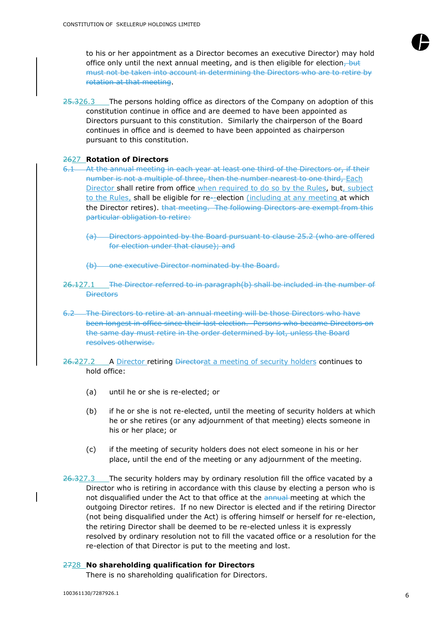to his or her appointment as a Director becomes an executive Director) may hold office only until the next annual meeting, and is then eligible for election, but must not be taken into account in determining the Directors who are to retire by rotation at that meeting.

25.326.3 The persons holding office as directors of the Company on adoption of this constitution continue in office and are deemed to have been appointed as Directors pursuant to this constitution. Similarly the chairperson of the Board continues in office and is deemed to have been appointed as chairperson pursuant to this constitution.

#### 2627 **Rotation of Directors**

- 6.1 At the annual meeting in each year at least one third of the Directors or, if their number is not a multiple of three, then the number nearest to one third, Each Director shall retire from office when required to do so by the Rules, but, subject to the Rules, shall be eligible for re--election (including at any meeting at which the Director retires). that meeting. The following Directors are exempt from this particular obligation to retire:
	- (a) Directors appointed by the Board pursuant to clause 25.2 (who are offered for election under that clause); and
	- (b) one executive Director nominated by the Board.
- 26.127.1 The Director referred to in paragraph(b) shall be included in the number of **Directors**
- 6.2 The Directors to retire at an annual meeting will be those Directors who have been longest in office since their last election. Persons who became Directors on the same day must retire in the order determined by lot, unless the Board resolves otherwise.
- 26.227.2 A Director retiring Directorat a meeting of security holders continues to hold office:
	- (a) until he or she is re-elected; or
	- (b) if he or she is not re-elected, until the meeting of security holders at which he or she retires (or any adjournment of that meeting) elects someone in his or her place; or
	- (c) if the meeting of security holders does not elect someone in his or her place, until the end of the meeting or any adjournment of the meeting.
- 26.327.3 The security holders may by ordinary resolution fill the office vacated by a Director who is retiring in accordance with this clause by electing a person who is not disqualified under the Act to that office at the annual meeting at which the outgoing Director retires. If no new Director is elected and if the retiring Director (not being disqualified under the Act) is offering himself or herself for re-election, the retiring Director shall be deemed to be re-elected unless it is expressly resolved by ordinary resolution not to fill the vacated office or a resolution for the re-election of that Director is put to the meeting and lost.

# 2728 **No shareholding qualification for Directors**

There is no shareholding qualification for Directors.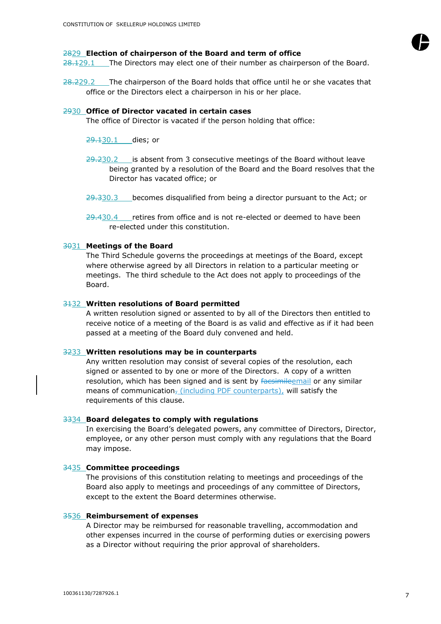#### 2829 **Election of chairperson of the Board and term of office**

28.129.1 The Directors may elect one of their number as chairperson of the Board.

28.229.2 The chairperson of the Board holds that office until he or she vacates that office or the Directors elect a chairperson in his or her place.

#### 2930 **Office of Director vacated in certain cases**

The office of Director is vacated if the person holding that office:

- 29.130.1 dies; or
- $29.230.2$  is absent from 3 consecutive meetings of the Board without leave being granted by a resolution of the Board and the Board resolves that the Director has vacated office; or
- 29.330.3 becomes disqualified from being a director pursuant to the Act; or
- $29.430.4$  retires from office and is not re-elected or deemed to have been re-elected under this constitution.

# 3031 **Meetings of the Board**

The Third Schedule governs the proceedings at meetings of the Board, except where otherwise agreed by all Directors in relation to a particular meeting or meetings. The third schedule to the Act does not apply to proceedings of the Board.

#### 3132 **Written resolutions of Board permitted**

A written resolution signed or assented to by all of the Directors then entitled to receive notice of a meeting of the Board is as valid and effective as if it had been passed at a meeting of the Board duly convened and held.

#### 3233 **Written resolutions may be in counterparts**

Any written resolution may consist of several copies of the resolution, each signed or assented to by one or more of the Directors. A copy of a written resolution, which has been signed and is sent by facsimileemail or any similar means of communication<sub>7</sub> (including PDF counterparts), will satisfy the requirements of this clause.

#### 3334 **Board delegates to comply with regulations**

In exercising the Board's delegated powers, any committee of Directors, Director, employee, or any other person must comply with any regulations that the Board may impose.

#### 3435 **Committee proceedings**

The provisions of this constitution relating to meetings and proceedings of the Board also apply to meetings and proceedings of any committee of Directors, except to the extent the Board determines otherwise.

#### 3536 **Reimbursement of expenses**

A Director may be reimbursed for reasonable travelling, accommodation and other expenses incurred in the course of performing duties or exercising powers as a Director without requiring the prior approval of shareholders.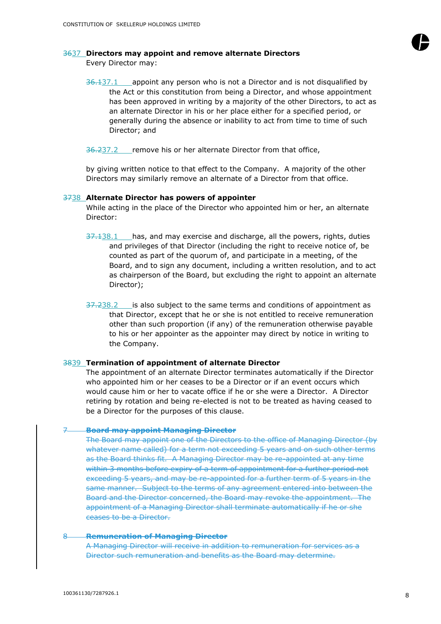

## 3637 **Directors may appoint and remove alternate Directors**

Every Director may:

 $36.137.1$  appoint any person who is not a Director and is not disqualified by the Act or this constitution from being a Director, and whose appointment has been approved in writing by a majority of the other Directors, to act as an alternate Director in his or her place either for a specified period, or generally during the absence or inability to act from time to time of such Director; and

36.237.2 remove his or her alternate Director from that office,

by giving written notice to that effect to the Company. A majority of the other Directors may similarly remove an alternate of a Director from that office.

#### 3738 **Alternate Director has powers of appointer**

While acting in the place of the Director who appointed him or her, an alternate Director:

- 37.138.1 has, and may exercise and discharge, all the powers, rights, duties and privileges of that Director (including the right to receive notice of, be counted as part of the quorum of, and participate in a meeting, of the Board, and to sign any document, including a written resolution, and to act as chairperson of the Board, but excluding the right to appoint an alternate Director);
- 37.238.2 is also subject to the same terms and conditions of appointment as that Director, except that he or she is not entitled to receive remuneration other than such proportion (if any) of the remuneration otherwise payable to his or her appointer as the appointer may direct by notice in writing to the Company.

#### 3839 **Termination of appointment of alternate Director**

The appointment of an alternate Director terminates automatically if the Director who appointed him or her ceases to be a Director or if an event occurs which would cause him or her to vacate office if he or she were a Director. A Director retiring by rotation and being re-elected is not to be treated as having ceased to be a Director for the purposes of this clause.

#### 7 **Board may appoint Managing Director**

The Board may appoint one of the Directors to the office of Managing Director (by whatever name called) for a term not exceeding 5 years and on such other terms as the Board thinks fit. A Managing Director may be re-appointed at any time within 3 months before expiry of a term of appointment for a further period not exceeding 5 years, and may be re-appointed for a further term of 5 years in the same manner. Subject to the terms of any agreement entered into between the Board and the Director concerned, the Board may revoke the appointment. The appointment of a Managing Director shall terminate automatically if he or she ceases to be a Director.

#### 8 **Remuneration of Managing Director**

A Managing Director will receive in addition to remuneration for services as a Director such remuneration and benefits as the Board may determine.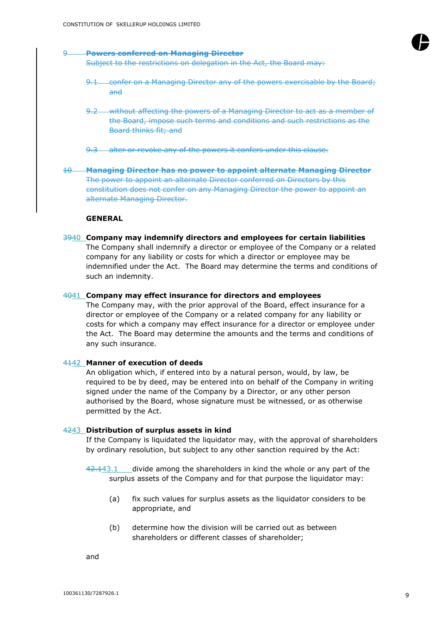

#### 9 **Powers conferred on Managing Director**

Subject to the restrictions on delegation in the Act, the Board may:

- 9.1 confer on a Managing Director any of the powers exercisable by the Board; and
- 9.2 without affecting the powers of a Managing Director to act as a member of the Board, impose such terms and conditions and such restrictions as the Board thinks fit; and
- 9.3 alter or revoke any of the powers it confers under this clause.
- 10 **Managing Director has no power to appoint alternate Managing Director** The power to appoint an alternate Director conferred on Directors by this constitution does not confer on any Managing Director the power to appoint an alternate Managing Director.

#### **GENERAL**

3940 **Company may indemnify directors and employees for certain liabilities** The Company shall indemnify a director or employee of the Company or a related company for any liability or costs for which a director or employee may be indemnified under the Act. The Board may determine the terms and conditions of such an indemnity.

#### 4041 **Company may effect insurance for directors and employees**

The Company may, with the prior approval of the Board, effect insurance for a director or employee of the Company or a related company for any liability or costs for which a company may effect insurance for a director or employee under the Act. The Board may determine the amounts and the terms and conditions of any such insurance.

#### 4142 **Manner of execution of deeds**

An obligation which, if entered into by a natural person, would, by law, be required to be by deed, may be entered into on behalf of the Company in writing signed under the name of the Company by a Director, or any other person authorised by the Board, whose signature must be witnessed, or as otherwise permitted by the Act.

#### 4243 **Distribution of surplus assets in kind**

If the Company is liquidated the liquidator may, with the approval of shareholders by ordinary resolution, but subject to any other sanction required by the Act:

 $42.143.1$  divide among the shareholders in kind the whole or any part of the surplus assets of the Company and for that purpose the liquidator may:

- (a) fix such values for surplus assets as the liquidator considers to be appropriate, and
- (b) determine how the division will be carried out as between shareholders or different classes of shareholder;

and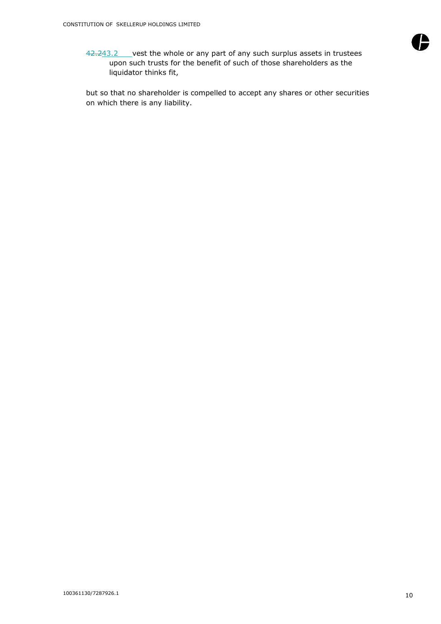

42.243.2 vest the whole or any part of any such surplus assets in trustees upon such trusts for the benefit of such of those shareholders as the liquidator thinks fit,

but so that no shareholder is compelled to accept any shares or other securities on which there is any liability.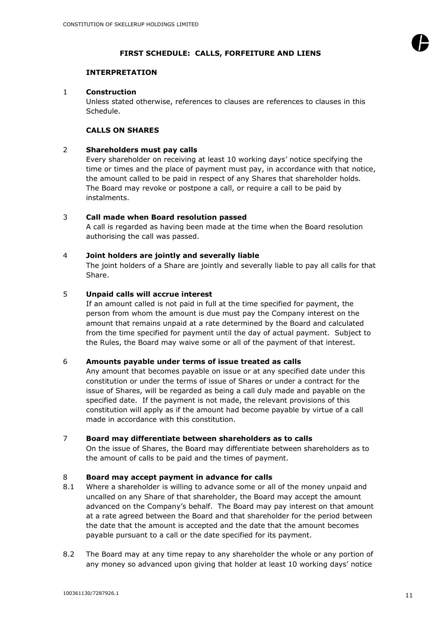

# **FIRST SCHEDULE: CALLS, FORFEITURE AND LIENS**

# **INTERPRETATION**

# 1 **Construction**

Unless stated otherwise, references to clauses are references to clauses in this Schedule.

# **CALLS ON SHARES**

# 2 **Shareholders must pay calls**

Every shareholder on receiving at least 10 working days' notice specifying the time or times and the place of payment must pay, in accordance with that notice, the amount called to be paid in respect of any Shares that shareholder holds. The Board may revoke or postpone a call, or require a call to be paid by instalments.

# 3 **Call made when Board resolution passed**

A call is regarded as having been made at the time when the Board resolution authorising the call was passed.

# 4 **Joint holders are jointly and severally liable**

The joint holders of a Share are jointly and severally liable to pay all calls for that Share.

# 5 **Unpaid calls will accrue interest**

If an amount called is not paid in full at the time specified for payment, the person from whom the amount is due must pay the Company interest on the amount that remains unpaid at a rate determined by the Board and calculated from the time specified for payment until the day of actual payment. Subject to the Rules, the Board may waive some or all of the payment of that interest.

# 6 **Amounts payable under terms of issue treated as calls**

Any amount that becomes payable on issue or at any specified date under this constitution or under the terms of issue of Shares or under a contract for the issue of Shares, will be regarded as being a call duly made and payable on the specified date. If the payment is not made, the relevant provisions of this constitution will apply as if the amount had become payable by virtue of a call made in accordance with this constitution.

# 7 **Board may differentiate between shareholders as to calls**

On the issue of Shares, the Board may differentiate between shareholders as to the amount of calls to be paid and the times of payment.

# 8 **Board may accept payment in advance for calls**

- 8.1 Where a shareholder is willing to advance some or all of the money unpaid and uncalled on any Share of that shareholder, the Board may accept the amount advanced on the Company's behalf. The Board may pay interest on that amount at a rate agreed between the Board and that shareholder for the period between the date that the amount is accepted and the date that the amount becomes payable pursuant to a call or the date specified for its payment.
- 8.2 The Board may at any time repay to any shareholder the whole or any portion of any money so advanced upon giving that holder at least 10 working days' notice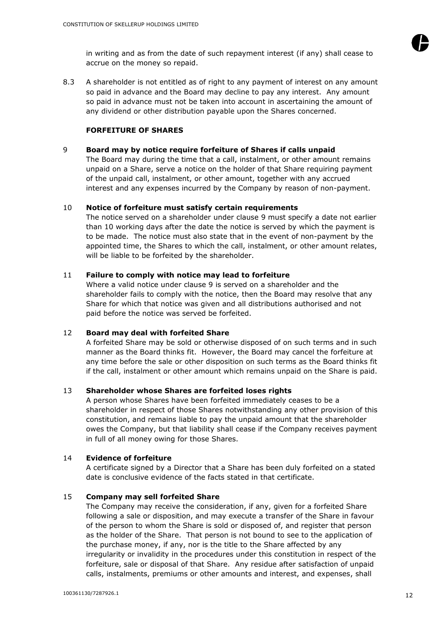

8.3 A shareholder is not entitled as of right to any payment of interest on any amount so paid in advance and the Board may decline to pay any interest. Any amount so paid in advance must not be taken into account in ascertaining the amount of any dividend or other distribution payable upon the Shares concerned.

# **FORFEITURE OF SHARES**

# 9 **Board may by notice require forfeiture of Shares if calls unpaid**

The Board may during the time that a call, instalment, or other amount remains unpaid on a Share, serve a notice on the holder of that Share requiring payment of the unpaid call, instalment, or other amount, together with any accrued interest and any expenses incurred by the Company by reason of non-payment.

# 10 **Notice of forfeiture must satisfy certain requirements**

The notice served on a shareholder under clause 9 must specify a date not earlier than 10 working days after the date the notice is served by which the payment is to be made. The notice must also state that in the event of non-payment by the appointed time, the Shares to which the call, instalment, or other amount relates, will be liable to be forfeited by the shareholder.

# 11 **Failure to comply with notice may lead to forfeiture**

Where a valid notice under clause 9 is served on a shareholder and the shareholder fails to comply with the notice, then the Board may resolve that any Share for which that notice was given and all distributions authorised and not paid before the notice was served be forfeited.

# 12 **Board may deal with forfeited Share**

A forfeited Share may be sold or otherwise disposed of on such terms and in such manner as the Board thinks fit. However, the Board may cancel the forfeiture at any time before the sale or other disposition on such terms as the Board thinks fit if the call, instalment or other amount which remains unpaid on the Share is paid.

# 13 **Shareholder whose Shares are forfeited loses rights**

A person whose Shares have been forfeited immediately ceases to be a shareholder in respect of those Shares notwithstanding any other provision of this constitution, and remains liable to pay the unpaid amount that the shareholder owes the Company, but that liability shall cease if the Company receives payment in full of all money owing for those Shares.

# 14 **Evidence of forfeiture**

A certificate signed by a Director that a Share has been duly forfeited on a stated date is conclusive evidence of the facts stated in that certificate.

# 15 **Company may sell forfeited Share**

The Company may receive the consideration, if any, given for a forfeited Share following a sale or disposition, and may execute a transfer of the Share in favour of the person to whom the Share is sold or disposed of, and register that person as the holder of the Share. That person is not bound to see to the application of the purchase money, if any, nor is the title to the Share affected by any irregularity or invalidity in the procedures under this constitution in respect of the forfeiture, sale or disposal of that Share. Any residue after satisfaction of unpaid calls, instalments, premiums or other amounts and interest, and expenses, shall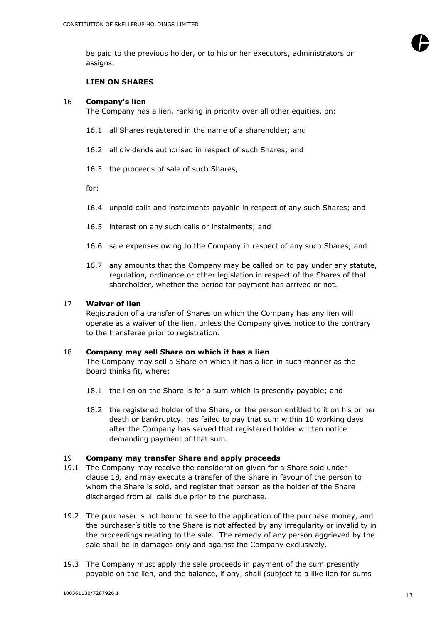

#### **LIEN ON SHARES**

#### 16 **Company's lien**

The Company has a lien, ranking in priority over all other equities, on:

- 16.1 all Shares registered in the name of a shareholder; and
- 16.2 all dividends authorised in respect of such Shares; and
- 16.3 the proceeds of sale of such Shares,

for:

- 16.4 unpaid calls and instalments payable in respect of any such Shares; and
- 16.5 interest on any such calls or instalments; and
- 16.6 sale expenses owing to the Company in respect of any such Shares; and
- 16.7 any amounts that the Company may be called on to pay under any statute, regulation, ordinance or other legislation in respect of the Shares of that shareholder, whether the period for payment has arrived or not.

#### 17 **Waiver of lien**

Registration of a transfer of Shares on which the Company has any lien will operate as a waiver of the lien, unless the Company gives notice to the contrary to the transferee prior to registration.

#### 18 **Company may sell Share on which it has a lien**

The Company may sell a Share on which it has a lien in such manner as the Board thinks fit, where:

- 18.1 the lien on the Share is for a sum which is presently payable; and
- 18.2 the registered holder of the Share, or the person entitled to it on his or her death or bankruptcy, has failed to pay that sum within 10 working days after the Company has served that registered holder written notice demanding payment of that sum.

#### 19 **Company may transfer Share and apply proceeds**

- 19.1 The Company may receive the consideration given for a Share sold under clause 18*,* and may execute a transfer of the Share in favour of the person to whom the Share is sold, and register that person as the holder of the Share discharged from all calls due prior to the purchase.
- 19.2 The purchaser is not bound to see to the application of the purchase money, and the purchaser's title to the Share is not affected by any irregularity or invalidity in the proceedings relating to the sale. The remedy of any person aggrieved by the sale shall be in damages only and against the Company exclusively.
- 19.3 The Company must apply the sale proceeds in payment of the sum presently payable on the lien, and the balance, if any, shall (subject to a like lien for sums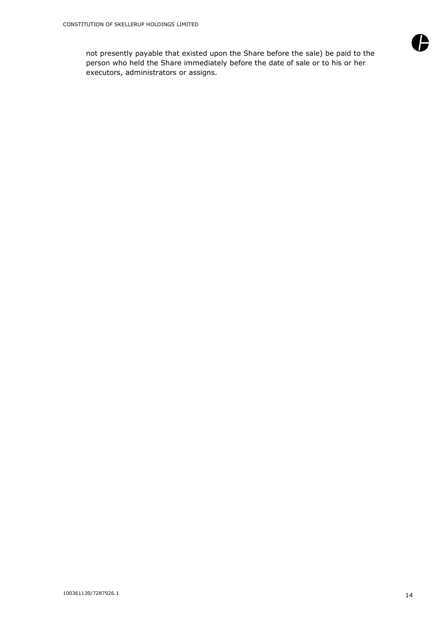not presently payable that existed upon the Share before the sale) be paid to the person who held the Share immediately before the date of sale or to his or her executors, administrators or assigns.

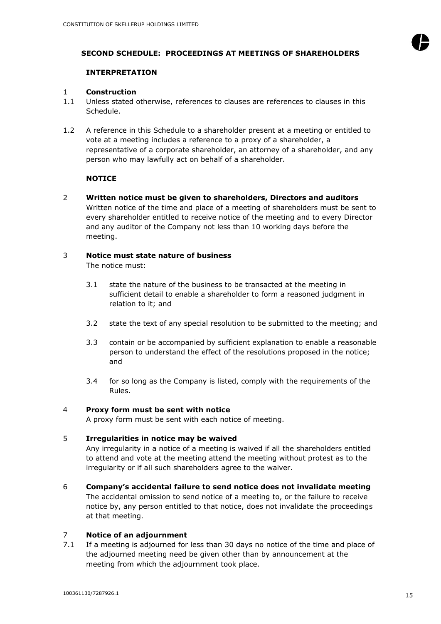

# **SECOND SCHEDULE: PROCEEDINGS AT MEETINGS OF SHAREHOLDERS**

# **INTERPRETATION**

## 1 **Construction**

- 1.1 Unless stated otherwise, references to clauses are references to clauses in this Schedule.
- 1.2 A reference in this Schedule to a shareholder present at a meeting or entitled to vote at a meeting includes a reference to a proxy of a shareholder, a representative of a corporate shareholder, an attorney of a shareholder, and any person who may lawfully act on behalf of a shareholder.

# **NOTICE**

2 **Written notice must be given to shareholders, Directors and auditors** Written notice of the time and place of a meeting of shareholders must be sent to every shareholder entitled to receive notice of the meeting and to every Director and any auditor of the Company not less than 10 working days before the meeting.

# 3 **Notice must state nature of business**

The notice must:

- 3.1 state the nature of the business to be transacted at the meeting in sufficient detail to enable a shareholder to form a reasoned judgment in relation to it; and
- 3.2 state the text of any special resolution to be submitted to the meeting; and
- 3.3 contain or be accompanied by sufficient explanation to enable a reasonable person to understand the effect of the resolutions proposed in the notice; and
- 3.4 for so long as the Company is listed, comply with the requirements of the Rules.

# 4 **Proxy form must be sent with notice**

A proxy form must be sent with each notice of meeting.

# 5 **Irregularities in notice may be waived**

Any irregularity in a notice of a meeting is waived if all the shareholders entitled to attend and vote at the meeting attend the meeting without protest as to the irregularity or if all such shareholders agree to the waiver.

6 **Company's accidental failure to send notice does not invalidate meeting** The accidental omission to send notice of a meeting to, or the failure to receive notice by, any person entitled to that notice, does not invalidate the proceedings at that meeting.

# 7 **Notice of an adjournment**

7.1 If a meeting is adjourned for less than 30 days no notice of the time and place of the adjourned meeting need be given other than by announcement at the meeting from which the adjournment took place.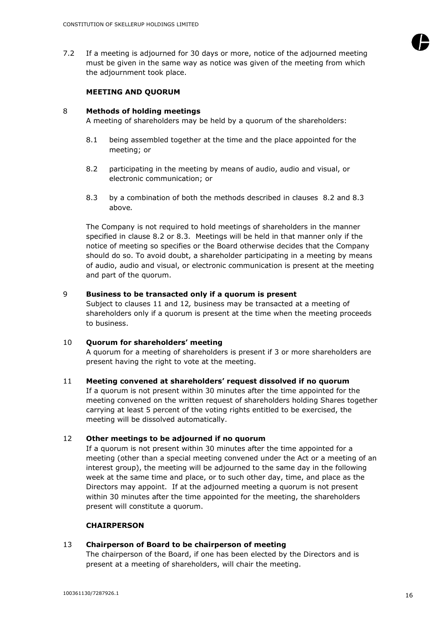7.2 If a meeting is adjourned for 30 days or more, notice of the adjourned meeting must be given in the same way as notice was given of the meeting from which the adjournment took place.

#### **MEETING AND QUORUM**

#### 8 **Methods of holding meetings**

A meeting of shareholders may be held by a quorum of the shareholders:

- 8.1 being assembled together at the time and the place appointed for the meeting; or
- <span id="page-16-0"></span>8.2 participating in the meeting by means of audio, audio and visual, or electronic communication; or
- <span id="page-16-1"></span>8.3 by a combination of both the methods described in clauses [8.2](#page-16-0) and [8.3](#page-16-1) above*.*

The Company is not required to hold meetings of shareholders in the manner specified in clause 8.2 or [8.3.](#page-16-1) Meetings will be held in that manner only if the notice of meeting so specifies or the Board otherwise decides that the Company should do so. To avoid doubt, a shareholder participating in a meeting by means of audio, audio and visual, or electronic communication is present at the meeting and part of the quorum.

## 9 **Business to be transacted only if a quorum is present**

Subject to clauses 11 and 12*,* business may be transacted at a meeting of shareholders only if a quorum is present at the time when the meeting proceeds to business.

# 10 **Quorum for shareholders' meeting** A quorum for a meeting of shareholders is present if 3 or more shareholders are present having the right to vote at the meeting.

11 **Meeting convened at shareholders' request dissolved if no quorum** If a quorum is not present within 30 minutes after the time appointed for the meeting convened on the written request of shareholders holding Shares together carrying at least 5 percent of the voting rights entitled to be exercised, the meeting will be dissolved automatically.

# 12 **Other meetings to be adjourned if no quorum**

If a quorum is not present within 30 minutes after the time appointed for a meeting (other than a special meeting convened under the Act or a meeting of an interest group), the meeting will be adjourned to the same day in the following week at the same time and place, or to such other day, time, and place as the Directors may appoint. If at the adjourned meeting a quorum is not present within 30 minutes after the time appointed for the meeting, the shareholders present will constitute a quorum.

# **CHAIRPERSON**

# 13 **Chairperson of Board to be chairperson of meeting**

The chairperson of the Board, if one has been elected by the Directors and is present at a meeting of shareholders, will chair the meeting.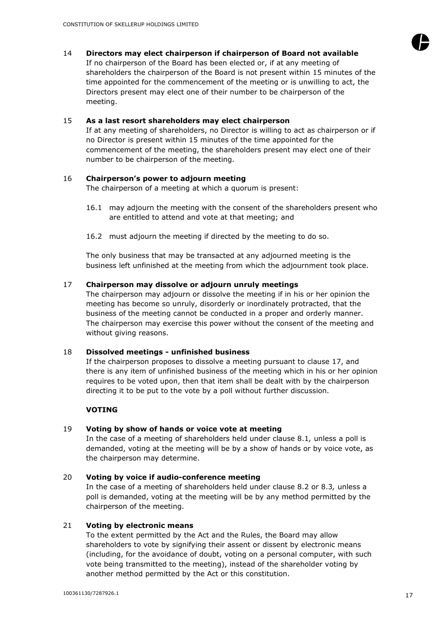# 14 **Directors may elect chairperson if chairperson of Board not available**

If no chairperson of the Board has been elected or, if at any meeting of shareholders the chairperson of the Board is not present within 15 minutes of the time appointed for the commencement of the meeting or is unwilling to act, the Directors present may elect one of their number to be chairperson of the meeting.

## 15 **As a last resort shareholders may elect chairperson**

If at any meeting of shareholders, no Director is willing to act as chairperson or if no Director is present within 15 minutes of the time appointed for the commencement of the meeting, the shareholders present may elect one of their number to be chairperson of the meeting.

# 16 **Chairperson's power to adjourn meeting**

The chairperson of a meeting at which a quorum is present:

- 16.1 may adjourn the meeting with the consent of the shareholders present who are entitled to attend and vote at that meeting; and
- 16.2 must adjourn the meeting if directed by the meeting to do so.

The only business that may be transacted at any adjourned meeting is the business left unfinished at the meeting from which the adjournment took place.

## 17 **Chairperson may dissolve or adjourn unruly meetings**

The chairperson may adjourn or dissolve the meeting if in his or her opinion the meeting has become so unruly, disorderly or inordinately protracted, that the business of the meeting cannot be conducted in a proper and orderly manner. The chairperson may exercise this power without the consent of the meeting and without giving reasons.

#### 18 **Dissolved meetings - unfinished business**

If the chairperson proposes to dissolve a meeting pursuant to clause 17, and there is any item of unfinished business of the meeting which in his or her opinion requires to be voted upon, then that item shall be dealt with by the chairperson directing it to be put to the vote by a poll without further discussion.

# **VOTING**

# 19 **Voting by show of hands or voice vote at meeting**

In the case of a meeting of shareholders held under clause 8.1*,* unless a poll is demanded, voting at the meeting will be by a show of hands or by voice vote, as the chairperson may determine.

# 20 **Voting by voice if audio-conference meeting**

In the case of a meeting of shareholders held under clause 8.2 or 8.3*,* unless a poll is demanded, voting at the meeting will be by any method permitted by the chairperson of the meeting.

# 21 **Voting by electronic means**

To the extent permitted by the Act and the Rules, the Board may allow shareholders to vote by signifying their assent or dissent by electronic means (including, for the avoidance of doubt, voting on a personal computer, with such vote being transmitted to the meeting), instead of the shareholder voting by another method permitted by the Act or this constitution.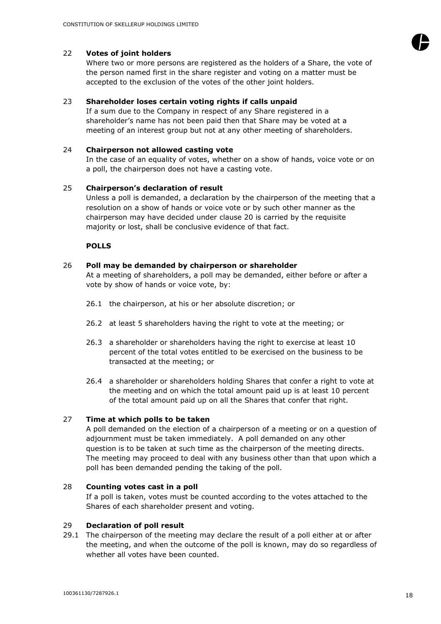# 22 **Votes of joint holders**

Where two or more persons are registered as the holders of a Share, the vote of the person named first in the share register and voting on a matter must be accepted to the exclusion of the votes of the other joint holders.

# 23 **Shareholder loses certain voting rights if calls unpaid**

If a sum due to the Company in respect of any Share registered in a shareholder's name has not been paid then that Share may be voted at a meeting of an interest group but not at any other meeting of shareholders.

#### 24 **Chairperson not allowed casting vote**

In the case of an equality of votes, whether on a show of hands, voice vote or on a poll, the chairperson does not have a casting vote.

## 25 **Chairperson's declaration of result**

Unless a poll is demanded, a declaration by the chairperson of the meeting that a resolution on a show of hands or voice vote or by such other manner as the chairperson may have decided under clause 20 is carried by the requisite majority or lost, shall be conclusive evidence of that fact.

#### **POLLS**

# 26 **Poll may be demanded by chairperson or shareholder**

At a meeting of shareholders, a poll may be demanded, either before or after a vote by show of hands or voice vote, by:

- 26.1 the chairperson, at his or her absolute discretion; or
- 26.2 at least 5 shareholders having the right to vote at the meeting; or
- 26.3 a shareholder or shareholders having the right to exercise at least 10 percent of the total votes entitled to be exercised on the business to be transacted at the meeting; or
- 26.4 a shareholder or shareholders holding Shares that confer a right to vote at the meeting and on which the total amount paid up is at least 10 percent of the total amount paid up on all the Shares that confer that right.

# 27 **Time at which polls to be taken**

A poll demanded on the election of a chairperson of a meeting or on a question of adjournment must be taken immediately. A poll demanded on any other question is to be taken at such time as the chairperson of the meeting directs. The meeting may proceed to deal with any business other than that upon which a poll has been demanded pending the taking of the poll.

#### 28 **Counting votes cast in a poll**

If a poll is taken, votes must be counted according to the votes attached to the Shares of each shareholder present and voting.

#### 29 **Declaration of poll result**

29.1 The chairperson of the meeting may declare the result of a poll either at or after the meeting, and when the outcome of the poll is known, may do so regardless of whether all votes have been counted.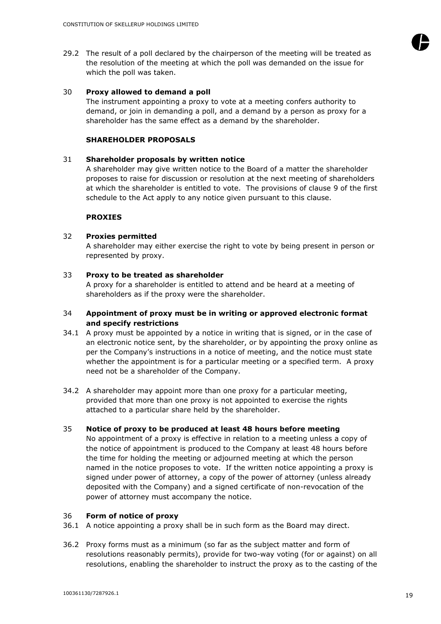29.2 The result of a poll declared by the chairperson of the meeting will be treated as the resolution of the meeting at which the poll was demanded on the issue for which the poll was taken.

#### 30 **Proxy allowed to demand a poll**

The instrument appointing a proxy to vote at a meeting confers authority to demand, or join in demanding a poll, and a demand by a person as proxy for a shareholder has the same effect as a demand by the shareholder.

# **SHAREHOLDER PROPOSALS**

#### 31 **Shareholder proposals by written notice**

A shareholder may give written notice to the Board of a matter the shareholder proposes to raise for discussion or resolution at the next meeting of shareholders at which the shareholder is entitled to vote. The provisions of clause 9 of the first schedule to the Act apply to any notice given pursuant to this clause.

## **PROXIES**

#### 32 **Proxies permitted**

A shareholder may either exercise the right to vote by being present in person or represented by proxy.

## 33 **Proxy to be treated as shareholder**

A proxy for a shareholder is entitled to attend and be heard at a meeting of shareholders as if the proxy were the shareholder.

## 34 **Appointment of proxy must be in writing or approved electronic format and specify restrictions**

- 34.1 A proxy must be appointed by a notice in writing that is signed, or in the case of an electronic notice sent, by the shareholder, or by appointing the proxy online as per the Company's instructions in a notice of meeting, and the notice must state whether the appointment is for a particular meeting or a specified term. A proxy need not be a shareholder of the Company.
- 34.2 A shareholder may appoint more than one proxy for a particular meeting, provided that more than one proxy is not appointed to exercise the rights attached to a particular share held by the shareholder.

# 35 **Notice of proxy to be produced at least 48 hours before meeting**

No appointment of a proxy is effective in relation to a meeting unless a copy of the notice of appointment is produced to the Company at least 48 hours before the time for holding the meeting or adjourned meeting at which the person named in the notice proposes to vote. If the written notice appointing a proxy is signed under power of attorney, a copy of the power of attorney (unless already deposited with the Company) and a signed certificate of non-revocation of the power of attorney must accompany the notice.

# 36 **Form of notice of proxy**

36.1 A notice appointing a proxy shall be in such form as the Board may direct.

36.2 Proxy forms must as a minimum (so far as the subject matter and form of resolutions reasonably permits), provide for two-way voting (for or against) on all resolutions, enabling the shareholder to instruct the proxy as to the casting of the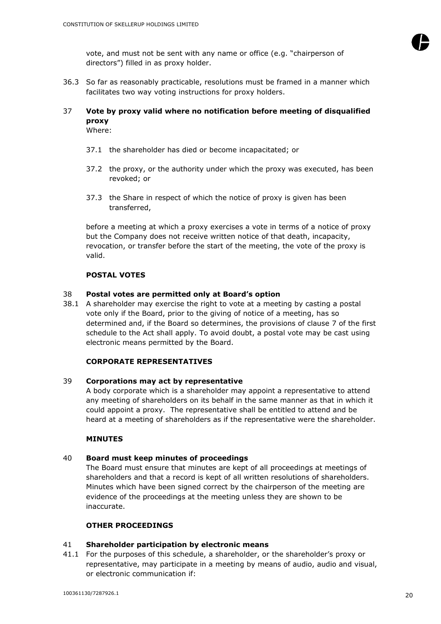

vote, and must not be sent with any name or office (e.g. "chairperson of directors") filled in as proxy holder.

36.3 So far as reasonably practicable, resolutions must be framed in a manner which facilitates two way voting instructions for proxy holders.

# 37 **Vote by proxy valid where no notification before meeting of disqualified proxy**

Where:

- 37.1 the shareholder has died or become incapacitated; or
- 37.2 the proxy, or the authority under which the proxy was executed, has been revoked; or
- 37.3 the Share in respect of which the notice of proxy is given has been transferred,

before a meeting at which a proxy exercises a vote in terms of a notice of proxy but the Company does not receive written notice of that death, incapacity, revocation, or transfer before the start of the meeting, the vote of the proxy is valid.

# **POSTAL VOTES**

## 38 **Postal votes are permitted only at Board's option**

38.1 A shareholder may exercise the right to vote at a meeting by casting a postal vote only if the Board, prior to the giving of notice of a meeting, has so determined and, if the Board so determines, the provisions of clause 7 of the first schedule to the Act shall apply. To avoid doubt, a postal vote may be cast using electronic means permitted by the Board.

# **CORPORATE REPRESENTATIVES**

#### 39 **Corporations may act by representative**

A body corporate which is a shareholder may appoint a representative to attend any meeting of shareholders on its behalf in the same manner as that in which it could appoint a proxy. The representative shall be entitled to attend and be heard at a meeting of shareholders as if the representative were the shareholder.

#### **MINUTES**

## 40 **Board must keep minutes of proceedings**

The Board must ensure that minutes are kept of all proceedings at meetings of shareholders and that a record is kept of all written resolutions of shareholders. Minutes which have been signed correct by the chairperson of the meeting are evidence of the proceedings at the meeting unless they are shown to be inaccurate.

#### **OTHER PROCEEDINGS**

#### 41 **Shareholder participation by electronic means**

41.1 For the purposes of this schedule, a shareholder, or the shareholder's proxy or representative, may participate in a meeting by means of audio, audio and visual, or electronic communication if: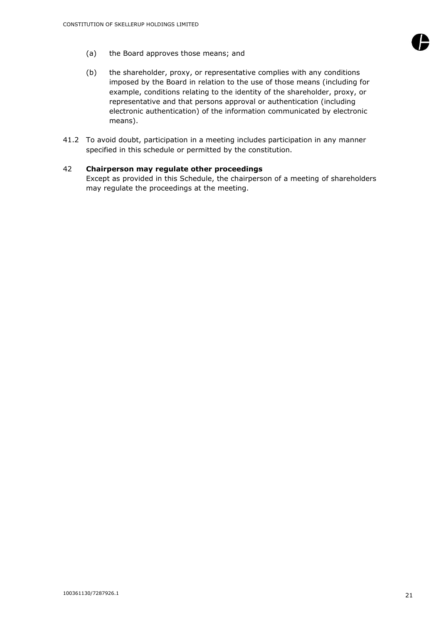

- (b) the shareholder, proxy, or representative complies with any conditions imposed by the Board in relation to the use of those means (including for example, conditions relating to the identity of the shareholder, proxy, or representative and that persons approval or authentication (including electronic authentication) of the information communicated by electronic means).
- 41.2 To avoid doubt, participation in a meeting includes participation in any manner specified in this schedule or permitted by the constitution.

# 42 **Chairperson may regulate other proceedings**

Except as provided in this Schedule, the chairperson of a meeting of shareholders may regulate the proceedings at the meeting.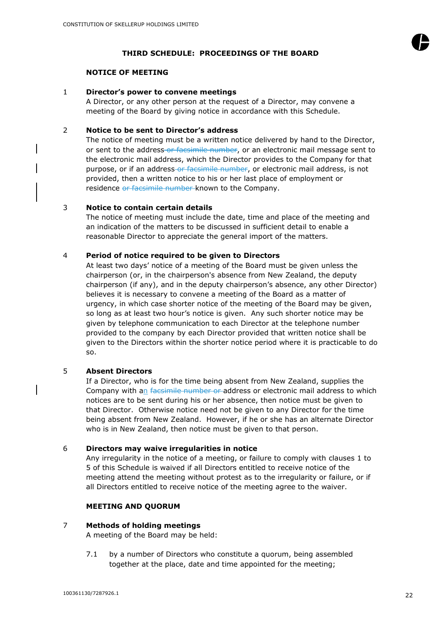

## **THIRD SCHEDULE: PROCEEDINGS OF THE BOARD**

## **NOTICE OF MEETING**

#### 1 **Director's power to convene meetings**

A Director, or any other person at the request of a Director, may convene a meeting of the Board by giving notice in accordance with this Schedule.

# 2 **Notice to be sent to Director's address**

The notice of meeting must be a written notice delivered by hand to the Director, or sent to the address-or facsimile number, or an electronic mail message sent to the electronic mail address, which the Director provides to the Company for that purpose, or if an address-or facsimile number, or electronic mail address, is not provided, then a written notice to his or her last place of employment or residence or facsimile number known to the Company.

# 3 **Notice to contain certain details**

The notice of meeting must include the date, time and place of the meeting and an indication of the matters to be discussed in sufficient detail to enable a reasonable Director to appreciate the general import of the matters.

## 4 **Period of notice required to be given to Directors**

At least two days' notice of a meeting of the Board must be given unless the chairperson (or, in the chairperson's absence from New Zealand, the deputy chairperson (if any), and in the deputy chairperson's absence, any other Director) believes it is necessary to convene a meeting of the Board as a matter of urgency, in which case shorter notice of the meeting of the Board may be given, so long as at least two hour's notice is given. Any such shorter notice may be given by telephone communication to each Director at the telephone number provided to the company by each Director provided that written notice shall be given to the Directors within the shorter notice period where it is practicable to do so.

# 5 **Absent Directors**

If a Director, who is for the time being absent from New Zealand, supplies the Company with an facsimile number or address or electronic mail address to which notices are to be sent during his or her absence, then notice must be given to that Director. Otherwise notice need not be given to any Director for the time being absent from New Zealand. However, if he or she has an alternate Director who is in New Zealand, then notice must be given to that person.

# 6 **Directors may waive irregularities in notice**

Any irregularity in the notice of a meeting, or failure to comply with clauses 1 to 5 of this Schedule is waived if all Directors entitled to receive notice of the meeting attend the meeting without protest as to the irregularity or failure, or if all Directors entitled to receive notice of the meeting agree to the waiver.

# **MEETING AND QUORUM**

## 7 **Methods of holding meetings**

A meeting of the Board may be held:

<span id="page-22-0"></span>7.1 by a number of Directors who constitute a quorum, being assembled together at the place, date and time appointed for the meeting;